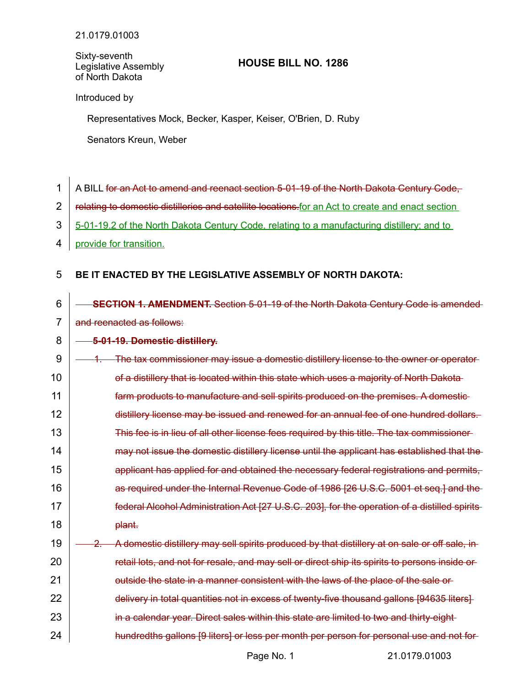Sixty-seventh Legislative Assembly of North Dakota

# **HOUSE BILL NO. 1286**

Introduced by

Representatives Mock, Becker, Kasper, Keiser, O'Brien, D. Ruby

Senators Kreun, Weber

1 2

21

22

24

A BILL for an Act to amend and reenact section 5-01-19 of the North Dakota Century Code,

relating to domestic distilleries and satellite locations.for an Act to create and enact section

- 5-01-19.2 of the North Dakota Century Code, relating to a manufacturing distillery; and to 3
- provide for transition. 4

#### **BE IT ENACTED BY THE LEGISLATIVE ASSEMBLY OF NORTH DAKOTA:** 5

 **SECTION 1. AMENDMENT.** Section 5-01-19 of the North Dakota Century Code is amended and reenacted as follows: 6 7

### **5-01-19. Domestic distillery.** 8

| 9  | The tax commissioner may issue a domestic distillery license to the owner or operator-         |  |
|----|------------------------------------------------------------------------------------------------|--|
| 10 | of a distillery that is located within this state which uses a majority of North Dakota        |  |
| 11 | farm products to manufacture and sell spirits produced on the premises. A domestic-            |  |
| 12 | distillery license may be issued and renewed for an annual fee of one hundred dollars.         |  |
| 13 | This fee is in lieu of all other license fees required by this title. The tax commissioner-    |  |
| 14 | may not issue the domestic distillery license until the applicant has established that the     |  |
| 15 | applicant has applied for and obtained the necessary federal registrations and permits,        |  |
| 16 | as required under the Internal Revenue Gode of 1986 [26 U.S.C. 5001 et seq.] and the           |  |
| 17 | federal Alcohol Administration Act [27 U.S.C. 203], for the operation of a distilled spirits   |  |
| 18 | <del>plant.</del>                                                                              |  |
| 19 | A domestic distillery may sell spirits produced by that distillery at on sale or off sale, in  |  |
| 20 | retail lots, and not for resale, and may sell or direct ship its spirits to persons inside or- |  |

delivery in total quantities not in excess of twenty-five thousand gallons [94635 liters]

outside the state in a manner consistent with the laws of the place of the sale or

in a calendar year. Direct sales within this state are limited to two and thirty-eight 23

hundredths gallons [9 liters] or less per month per person for personal use and not for

Page No. 1 21.0179.01003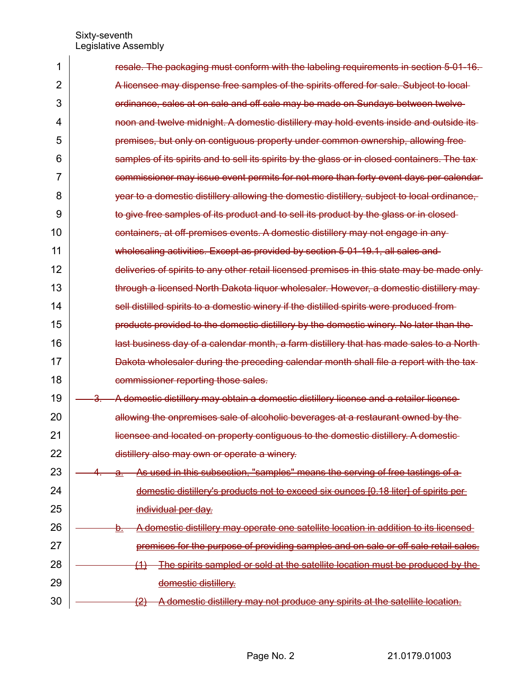| 1  | resale. The packaging must conform with the labeling requirements in section 5-01-16.             |
|----|---------------------------------------------------------------------------------------------------|
| 2  | A licensee may dispense free samples of the spirits offered for sale. Subject to local-           |
| 3  | ordinance, sales at on sale and off sale may be made on Sundays between twelve                    |
| 4  | noon and twelve midnight. A domestic distillery may hold events inside and outside its-           |
| 5  | premises, but only on contiguous property under common ownership, allowing free-                  |
| 6  | samples of its spirits and to sell its spirits by the glass or in closed containers. The tax-     |
| 7  | commissioner may issue event permits for not more than forty event days per calendar              |
| 8  | year to a domestic distillery allowing the domestic distillery, subject to local ordinance,       |
| 9  | to give free samples of its product and to sell its product by the glass or in closed-            |
| 10 | containers, at off-premises events. A domestic distillery may not engage in any-                  |
| 11 | wholesaling activities. Except as provided by section 5-01-19.1, all sales and                    |
| 12 | deliveries of spirits to any other retail licensed premises in this state may be made only        |
| 13 | through a licensed North Dakota liquor wholesaler. However, a domestic distillery may             |
| 14 | sell distilled spirits to a domestic winery if the distilled spirits were produced from-          |
| 15 | products provided to the domestic distillery by the domestic winery. No later than the            |
| 16 | last business day of a calendar month, a farm distillery that has made sales to a North-          |
| 17 | Dakota wholesaler during the preceding calendar month shall file a report with the tax-           |
| 18 | commissioner reporting those sales.                                                               |
| 19 | A domestic distillery may obtain a domestic distillery license and a retailer license<br>Յ.       |
| 20 | allowing the onpremises sale of alcoholic beverages at a restaurant owned by the                  |
| 21 | licensee and located on property contiguous to the domestic distillery. A domestic-               |
| 22 | distillery also may own or operate a winery.                                                      |
| 23 | As used in this subsection, "samples" means the serving of free tastings of a<br>$\mathbf{a}$ .   |
| 24 | domestic distillery's products not to exceed six ounces [0.18 liter] of spirits per-              |
| 25 | individual per day.                                                                               |
| 26 | A domestic distillery may operate one satellite location in addition to its licensed<br><u>ə.</u> |
| 27 | premises for the purpose of providing samples and on sale or off sale retail sales.               |
| 28 | The spirits sampled or sold at the satellite location must be produced by the<br><u>(1)</u>       |
| 29 | domestic distillery.                                                                              |
| 30 | A domestic distillery may not produce any spirits at the satellite location.<br><u>(2)</u>        |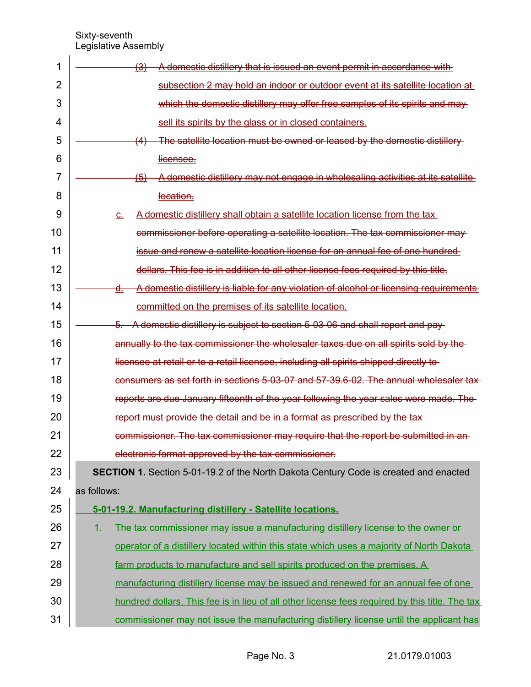| 1  | A domestic distillery that is issued an event permit in accordance with<br><u>(3)</u>          |
|----|------------------------------------------------------------------------------------------------|
| 2  | subsection 2 may hold an indoor or outdoor event at its satellite location at                  |
| 3  | which the domestic distillery may offer free samples of its spirits and may                    |
| 4  | sell its spirits by the glass or in closed containers.                                         |
| 5  | The satellite location must be owned or leased by the domestic distillery<br><del>(4)</del>    |
| 6  | licensee.                                                                                      |
| 7  | A domestic distillery may not engage in wholesaling activities at its satellite<br><u>(5)</u>  |
| 8  | location.                                                                                      |
| 9  | A domestic distillery shall obtain a satellite location license from the tax-<br><del>c.</del> |
| 10 | commissioner before operating a satellite location. The tax commissioner may                   |
| 11 | issue and renew a satellite location license for an annual fee of one hundred                  |
| 12 | dollars. This fee is in addition to all other license fees required by this title.             |
| 13 | A domestic distillery is liable for any violation of alcohol or licensing requirements<br>d.   |
| 14 | committed on the premises of its satellite location.                                           |
| 15 | $\frac{5}{2}$ . A domestic distillery is subject to section 5-03-06 and shall report and pay-  |
| 16 | annually to the tax commissioner the wholesaler taxes due on all spirits sold by the           |
| 17 | licensee at retail or to a retail licensee, including all spirits shipped directly to-         |
| 18 | consumers as set forth in sections 5-03-07 and 57-39.6-02. The annual wholesaler tax-          |
| 19 | reports are due January fifteenth of the year following the year sales were made. The          |
| 20 | report must provide the detail and be in a format as prescribed by the tax-                    |
| 21 | commissioner. The tax commissioner may require that the report be submitted in an-             |
| 22 | electronic format approved by the tax commissioner.                                            |
| 23 | <b>SECTION 1.</b> Section 5-01-19.2 of the North Dakota Century Code is created and enacted    |
| 24 | as follows:                                                                                    |
| 25 | 5-01-19.2. Manufacturing distillery - Satellite locations.                                     |
| 26 | The tax commissioner may issue a manufacturing distillery license to the owner or<br>1.        |
| 27 | operator of a distillery located within this state which uses a majority of North Dakota       |
| 28 | farm products to manufacture and sell spirits produced on the premises. A                      |
| 29 | manufacturing distillery license may be issued and renewed for an annual fee of one            |
| 30 | hundred dollars. This fee is in lieu of all other license fees required by this title. The tax |
| 31 | commissioner may not issue the manufacturing distillery license until the applicant has        |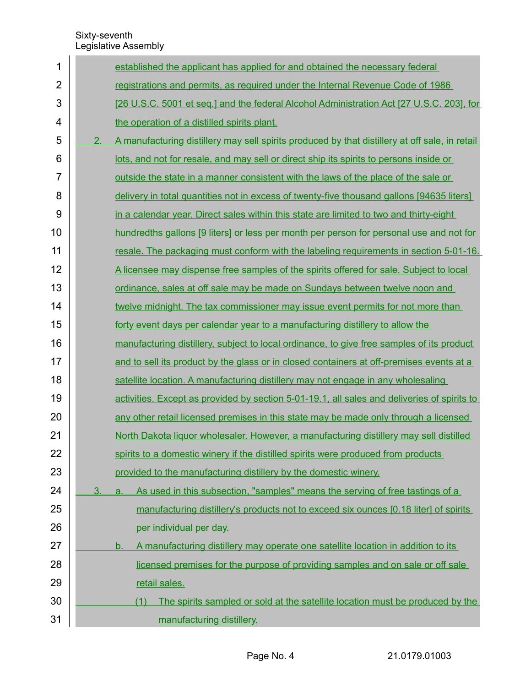$\overline{1}$ 

| 1              |    | established the applicant has applied for and obtained the necessary federal                   |
|----------------|----|------------------------------------------------------------------------------------------------|
| $\overline{2}$ |    | registrations and permits, as required under the Internal Revenue Code of 1986                 |
| 3              |    | [26 U.S.C. 5001 et seq.] and the federal Alcohol Administration Act [27 U.S.C. 203], for       |
| 4              |    | the operation of a distilled spirits plant.                                                    |
| 5              | 2. | A manufacturing distillery may sell spirits produced by that distillery at off sale, in retail |
| 6              |    | lots, and not for resale, and may sell or direct ship its spirits to persons inside or         |
| $\overline{7}$ |    | <u>outside the state in a manner consistent with the laws of the place of the sale or</u>      |
| 8              |    | delivery in total quantities not in excess of twenty-five thousand gallons [94635 liters]      |
| 9              |    | in a calendar year. Direct sales within this state are limited to two and thirty-eight         |
| 10             |    | hundredths gallons [9 liters] or less per month per person for personal use and not for        |
| 11             |    | resale. The packaging must conform with the labeling requirements in section 5-01-16.          |
| 12             |    | A licensee may dispense free samples of the spirits offered for sale. Subject to local         |
| 13             |    | ordinance, sales at off sale may be made on Sundays between twelve noon and                    |
| 14             |    | twelve midnight. The tax commissioner may issue event permits for not more than                |
| 15             |    | forty event days per calendar year to a manufacturing distillery to allow the                  |
| 16             |    | manufacturing distillery, subject to local ordinance, to give free samples of its product      |
| 17             |    | and to sell its product by the glass or in closed containers at off-premises events at a       |
| 18             |    | satellite location. A manufacturing distillery may not engage in any wholesaling               |
| 19             |    | activities. Except as provided by section 5-01-19.1, all sales and deliveries of spirits to    |
| 20             |    | any other retail licensed premises in this state may be made only through a licensed           |
| 21             |    | North Dakota liquor wholesaler. However, a manufacturing distillery may sell distilled         |
| 22             |    | spirits to a domestic winery if the distilled spirits were produced from products              |
| 23             |    | provided to the manufacturing distillery by the domestic winery.                               |
| 24             | 3. | As used in this subsection, "samples" means the serving of free tastings of a<br>a.            |
| 25             |    | manufacturing distillery's products not to exceed six ounces [0.18 liter] of spirits           |
| 26             |    | per individual per day.                                                                        |
| 27             |    | A manufacturing distillery may operate one satellite location in addition to its<br><u>b.</u>  |
| 28             |    | licensed premises for the purpose of providing samples and on sale or off sale                 |
| 29             |    | retail sales.                                                                                  |
| 30             |    | The spirits sampled or sold at the satellite location must be produced by the<br>(1)           |
| 31             |    | manufacturing distillery.                                                                      |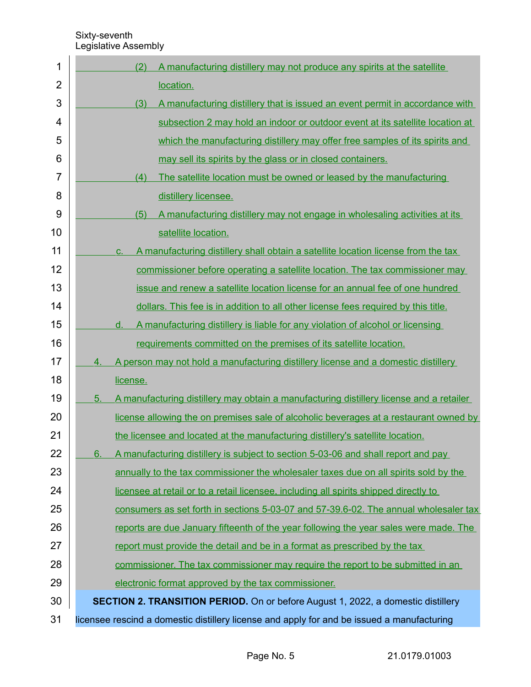| 1              |    | (2)<br>A manufacturing distillery may not produce any spirits at the satellite             |
|----------------|----|--------------------------------------------------------------------------------------------|
| $\overline{2}$ |    | location.                                                                                  |
| 3              |    | (3)<br>A manufacturing distillery that is issued an event permit in accordance with        |
| 4              |    | subsection 2 may hold an indoor or outdoor event at its satellite location at              |
| 5              |    | which the manufacturing distillery may offer free samples of its spirits and               |
| 6              |    | may sell its spirits by the glass or in closed containers.                                 |
| $\overline{7}$ |    | The satellite location must be owned or leased by the manufacturing<br>(4)                 |
| 8              |    | distillery licensee.                                                                       |
| 9              |    | A manufacturing distillery may not engage in wholesaling activities at its<br>(5)          |
| 10             |    | satellite location.                                                                        |
| 11             |    | A manufacturing distillery shall obtain a satellite location license from the tax<br>C.    |
| 12             |    | commissioner before operating a satellite location. The tax commissioner may               |
| 13             |    | issue and renew a satellite location license for an annual fee of one hundred              |
| 14             |    | dollars. This fee is in addition to all other license fees required by this title.         |
| 15             |    | A manufacturing distillery is liable for any violation of alcohol or licensing<br>d.       |
| 16             |    | requirements committed on the premises of its satellite location.                          |
| 17             | 4. | A person may not hold a manufacturing distillery license and a domestic distillery         |
| 18             |    | license.                                                                                   |
| 19             | 5. | A manufacturing distillery may obtain a manufacturing distillery license and a retailer    |
| 20             |    | license allowing the on premises sale of alcoholic beverages at a restaurant owned by      |
| 21             |    | the licensee and located at the manufacturing distillery's satellite location.             |
| 22             | 6. | A manufacturing distillery is subject to section 5-03-06 and shall report and pay          |
| 23             |    | annually to the tax commissioner the wholesaler taxes due on all spirits sold by the       |
| 24             |    | licensee at retail or to a retail licensee, including all spirits shipped directly to      |
| 25             |    | consumers as set forth in sections 5-03-07 and 57-39.6-02. The annual wholesaler tax       |
| 26             |    | reports are due January fifteenth of the year following the year sales were made. The      |
| 27             |    | report must provide the detail and be in a format as prescribed by the tax                 |
| 28             |    | commissioner. The tax commissioner may require the report to be submitted in an            |
| 29             |    | electronic format approved by the tax commissioner.                                        |
| 30             |    | <b>SECTION 2. TRANSITION PERIOD.</b> On or before August 1, 2022, a domestic distillery    |
| 31             |    | licensee rescind a domestic distillery license and apply for and be issued a manufacturing |